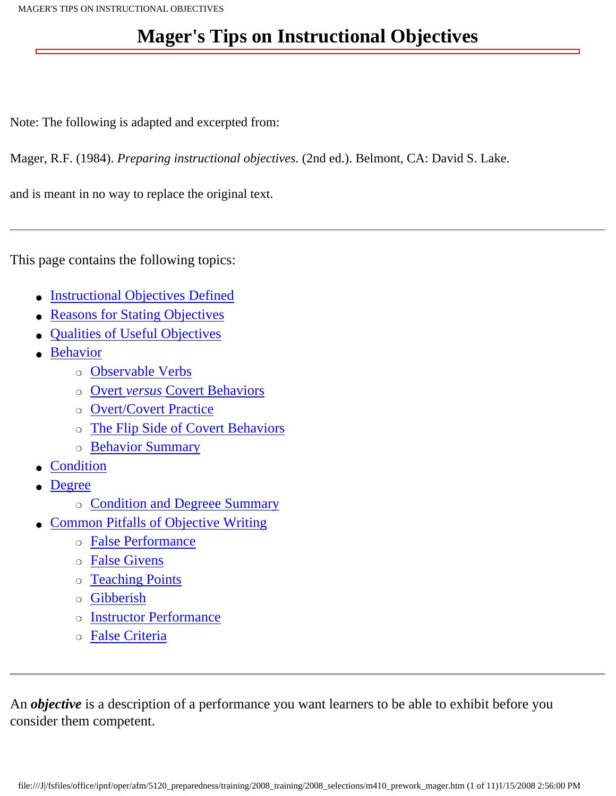# **Mager's Tips on Instructional Objectives**

Note: The following is adapted and excerpted from:

Mager, R.F. (1984). *Preparing instructional objectives.* (2nd ed.). Belmont, CA: David S. Lake.

and is meant in no way to replace the original text.

This page contains the following topics:

- **[Instructional Objectives Defined](http://www2.gsu.edu/~mstmbs/CrsTools/Magerobj.html#Objectives Defined)**
- **[Reasons for Stating Objectives](http://www2.gsu.edu/~mstmbs/CrsTools/Magerobj.html#Reasons)**
- [Qualities of Useful Objectives](http://www2.gsu.edu/~mstmbs/CrsTools/Magerobj.html#Qualities)
- [Behavior](http://www2.gsu.edu/~mstmbs/CrsTools/Magerobj.html#Behavior)
	- ❍ [Observable Verbs](http://www2.gsu.edu/~mstmbs/CrsTools/Magerobj.html#Behavior)
	- ❍ Overt *versus* [Covert Behaviors](http://www2.gsu.edu/~mstmbs/CrsTools/Magerobj.html#Overt vs. Covert)
	- ❍ [Overt/Covert Practice](http://www2.gsu.edu/~mstmbs/CrsTools/Magerobj.html#Overt/Covert Practice)
	- ❍ [The Flip Side of Covert Behaviors](http://www2.gsu.edu/~mstmbs/CrsTools/Magerobj.html#Main Intent)
	- ❍ [Behavior Summary](http://www2.gsu.edu/~mstmbs/CrsTools/Magerobj.html#Behavior Summary)
- **[Condition](http://www2.gsu.edu/~mstmbs/CrsTools/Magerobj.html#Condition)**
- **[Degree](http://www2.gsu.edu/~mstmbs/CrsTools/Magerobj.html#Degree)** 
	- o [Condition and Degreee Summary](http://www2.gsu.edu/~mstmbs/CrsTools/Magerobj.html#Condition and Degree Summary)
- **[Common Pitfalls of Objective Writing](http://www2.gsu.edu/~mstmbs/CrsTools/Magerobj.html#Pitfalls)** 
	- ❍ [False Performance](http://www2.gsu.edu/~mstmbs/CrsTools/Magerobj.html#False Performance)
	- ❍ [False Givens](http://www2.gsu.edu/~mstmbs/CrsTools/Magerobj.html#False Givens)
	- ❍ [Teaching Points](http://www2.gsu.edu/~mstmbs/CrsTools/Magerobj.html#Teaching Points)
	- ❍ [Gibberish](http://www2.gsu.edu/~mstmbs/CrsTools/Magerobj.html#Gibberish)
	- o **[Instructor Performance](http://www2.gsu.edu/~mstmbs/CrsTools/Magerobj.html#Instructor Performance)**
	- ❍ [False Criteria](http://www2.gsu.edu/~mstmbs/CrsTools/Magerobj.html#False Criteria)

An *objective* is a description of a performance you want learners to be able to exhibit before you consider them competent.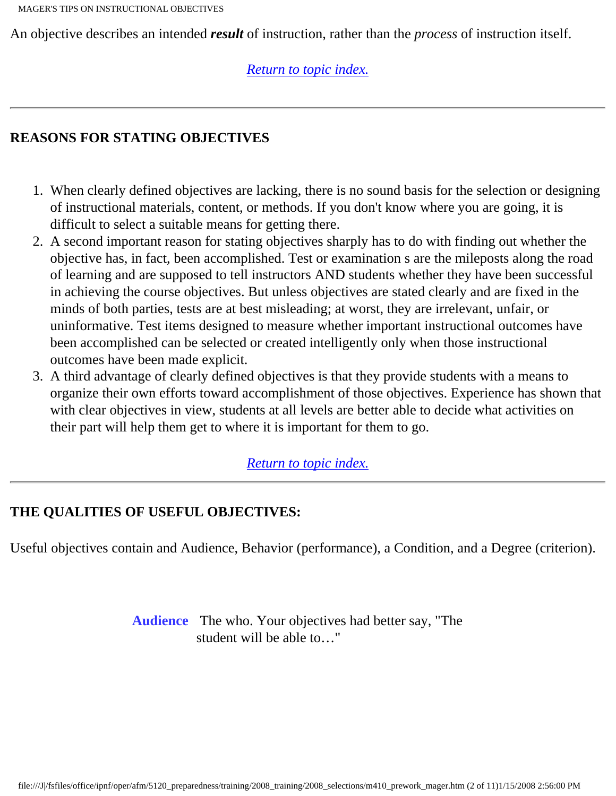An objective describes an intended *result* of instruction, rather than the *process* of instruction itself.

### *[Return to topic index.](http://www2.gsu.edu/~mstmbs/CrsTools/Magerobj.html#Objective Index)*

### **REASONS FOR STATING OBJECTIVES**

- 1. When clearly defined objectives are lacking, there is no sound basis for the selection or designing of instructional materials, content, or methods. If you don't know where you are going, it is difficult to select a suitable means for getting there.
- 2. A second important reason for stating objectives sharply has to do with finding out whether the objective has, in fact, been accomplished. Test or examination s are the mileposts along the road of learning and are supposed to tell instructors AND students whether they have been successful in achieving the course objectives. But unless objectives are stated clearly and are fixed in the minds of both parties, tests are at best misleading; at worst, they are irrelevant, unfair, or uninformative. Test items designed to measure whether important instructional outcomes have been accomplished can be selected or created intelligently only when those instructional outcomes have been made explicit.
- 3. A third advantage of clearly defined objectives is that they provide students with a means to organize their own efforts toward accomplishment of those objectives. Experience has shown that with clear objectives in view, students at all levels are better able to decide what activities on their part will help them get to where it is important for them to go.

### *[Return to topic index.](http://www2.gsu.edu/~mstmbs/CrsTools/Magerobj.html#Objective Index)*

### **THE QUALITIES OF USEFUL OBJECTIVES:**

Useful objectives contain and Audience, Behavior (performance), a Condition, and a Degree (criterion).

**Audience** The who. Your objectives had better say, "The student will be able to…"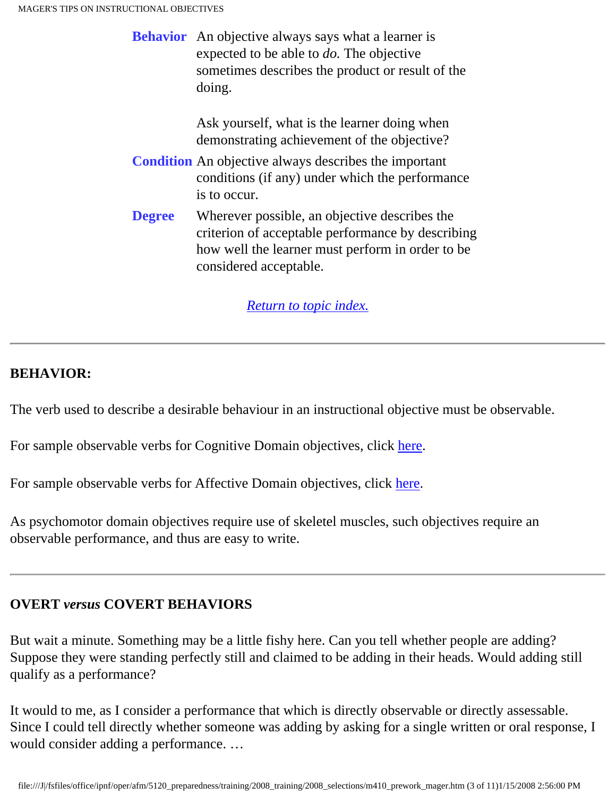|               | <b>Behavior</b> An objective always says what a learner is<br>expected to be able to <i>do</i> . The objective<br>sometimes describes the product or result of the<br>doing.     |
|---------------|----------------------------------------------------------------------------------------------------------------------------------------------------------------------------------|
|               | Ask yourself, what is the learner doing when<br>demonstrating achievement of the objective?                                                                                      |
|               | <b>Condition</b> An objective always describes the important<br>conditions (if any) under which the performance<br>is to occur.                                                  |
| <b>Degree</b> | Wherever possible, an objective describes the<br>criterion of acceptable performance by describing<br>how well the learner must perform in order to be<br>considered acceptable. |

*[Return to topic index.](http://www2.gsu.edu/~mstmbs/CrsTools/Magerobj.html#Objective Index)*

### **BEHAVIOR:**

The verb used to describe a desirable behaviour in an instructional objective must be observable.

For sample observable verbs for Cognitive Domain objectives, click [here.](http://www.gsu.edu/~mstmbs/CrsTools/cogverbs.html)

For sample observable verbs for Affective Domain objectives, click [here](http://www.gsu.edu/~mstmbs/CrsTools/affverbs.html).

As psychomotor domain objectives require use of skeletel muscles, such objectives require an observable performance, and thus are easy to write.

### **OVERT** *versus* **COVERT BEHAVIORS**

But wait a minute. Something may be a little fishy here. Can you tell whether people are adding? Suppose they were standing perfectly still and claimed to be adding in their heads. Would adding still qualify as a performance?

It would to me, as I consider a performance that which is directly observable or directly assessable. Since I could tell directly whether someone was adding by asking for a single written or oral response, I would consider adding a performance. …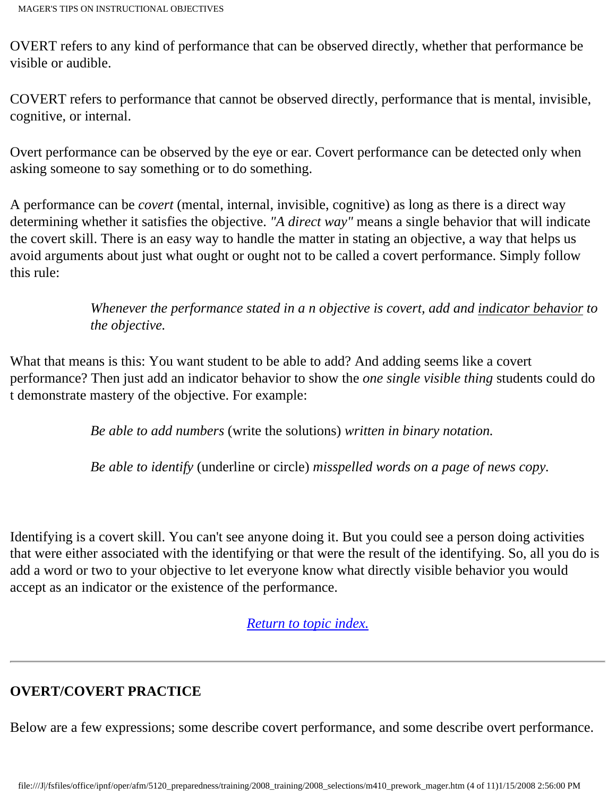OVERT refers to any kind of performance that can be observed directly, whether that performance be visible or audible.

COVERT refers to performance that cannot be observed directly, performance that is mental, invisible, cognitive, or internal.

Overt performance can be observed by the eye or ear. Covert performance can be detected only when asking someone to say something or to do something.

A performance can be *covert* (mental, internal, invisible, cognitive) as long as there is a direct way determining whether it satisfies the objective. *"A direct way"* means a single behavior that will indicate the covert skill. There is an easy way to handle the matter in stating an objective, a way that helps us avoid arguments about just what ought or ought not to be called a covert performance. Simply follow this rule:

> *Whenever the performance stated in a n objective is covert, add and indicator behavior to the objective.*

What that means is this: You want student to be able to add? And adding seems like a covert performance? Then just add an indicator behavior to show the *one single visible thing* students could do t demonstrate mastery of the objective. For example:

*Be able to add numbers* (write the solutions) *written in binary notation.*

*Be able to identify* (underline or circle) *misspelled words on a page of news copy.*

Identifying is a covert skill. You can't see anyone doing it. But you could see a person doing activities that were either associated with the identifying or that were the result of the identifying. So, all you do is add a word or two to your objective to let everyone know what directly visible behavior you would accept as an indicator or the existence of the performance.

*[Return to topic index.](http://www2.gsu.edu/~mstmbs/CrsTools/Magerobj.html#Objective Index)*

### **OVERT/COVERT PRACTICE**

Below are a few expressions; some describe covert performance, and some describe overt performance.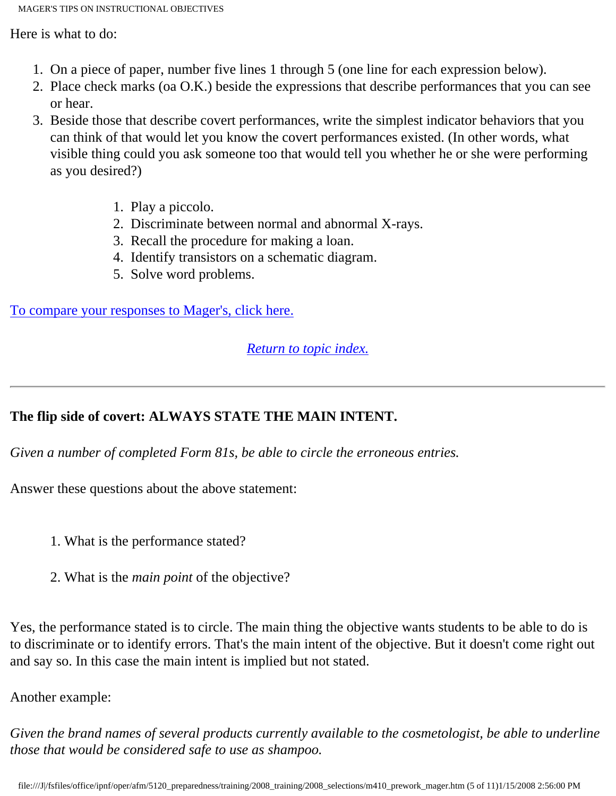Here is what to do:

- 1. On a piece of paper, number five lines 1 through 5 (one line for each expression below).
- 2. Place check marks (oa O.K.) beside the expressions that describe performances that you can see or hear.
- 3. Beside those that describe covert performances, write the simplest indicator behaviors that you can think of that would let you know the covert performances existed. (In other words, what visible thing could you ask someone too that would tell you whether he or she were performing as you desired?)
	- 1. Play a piccolo.
	- 2. Discriminate between normal and abnormal X-rays.
	- 3. Recall the procedure for making a loan.
	- 4. Identify transistors on a schematic diagram.
	- 5. Solve word problems.

[To compare your responses to Mager's, click here.](http://www.gsu.edu/~mstmbs/CrsTools/overtcovert.html)

### *[Return to topic index.](http://www2.gsu.edu/~mstmbs/CrsTools/Magerobj.html#Objective Index)*

## **The flip side of covert: ALWAYS STATE THE MAIN INTENT.**

*Given a number of completed Form 81s, be able to circle the erroneous entries.*

Answer these questions about the above statement:

- 1. What is the performance stated?
- 2. What is the *main point* of the objective?

Yes, the performance stated is to circle. The main thing the objective wants students to be able to do is to discriminate or to identify errors. That's the main intent of the objective. But it doesn't come right out and say so. In this case the main intent is implied but not stated.

Another example:

*Given the brand names of several products currently available to the cosmetologist, be able to underline those that would be considered safe to use as shampoo.*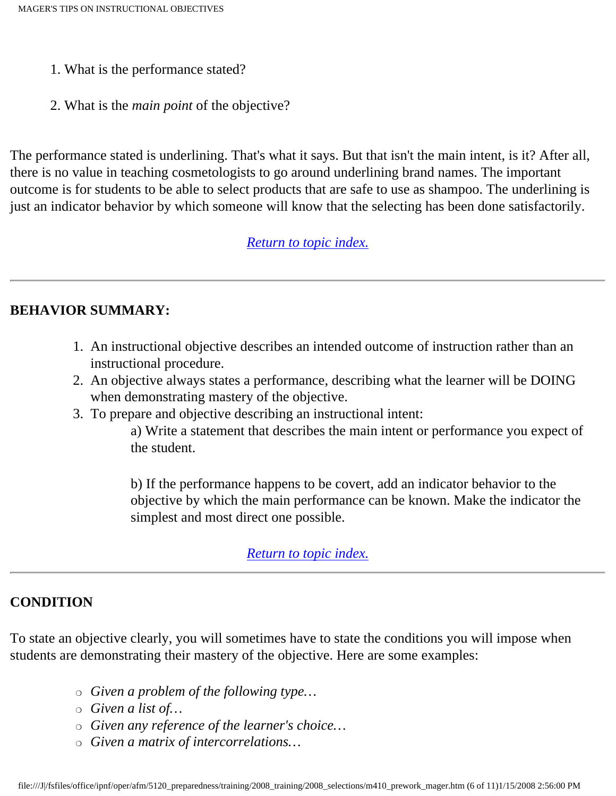- 1. What is the performance stated?
- 2. What is the *main point* of the objective?

The performance stated is underlining. That's what it says. But that isn't the main intent, is it? After all, there is no value in teaching cosmetologists to go around underlining brand names. The important outcome is for students to be able to select products that are safe to use as shampoo. The underlining is just an indicator behavior by which someone will know that the selecting has been done satisfactorily.

*[Return to topic index.](http://www2.gsu.edu/~mstmbs/CrsTools/Magerobj.html#Objective Index)*

#### **BEHAVIOR SUMMARY:**

- 1. An instructional objective describes an intended outcome of instruction rather than an instructional procedure.
- 2. An objective always states a performance, describing what the learner will be DOING when demonstrating mastery of the objective.
- 3. To prepare and objective describing an instructional intent:

a) Write a statement that describes the main intent or performance you expect of the student.

b) If the performance happens to be covert, add an indicator behavior to the objective by which the main performance can be known. Make the indicator the simplest and most direct one possible.

*[Return to topic index.](http://www2.gsu.edu/~mstmbs/CrsTools/Magerobj.html#Objective Index)*

### **CONDITION**

To state an objective clearly, you will sometimes have to state the conditions you will impose when students are demonstrating their mastery of the objective. Here are some examples:

- ❍ *Given a problem of the following type…*
- ❍ *Given a list of…*
- ❍ *Given any reference of the learner's choice…*
- ❍ *Given a matrix of intercorrelations…*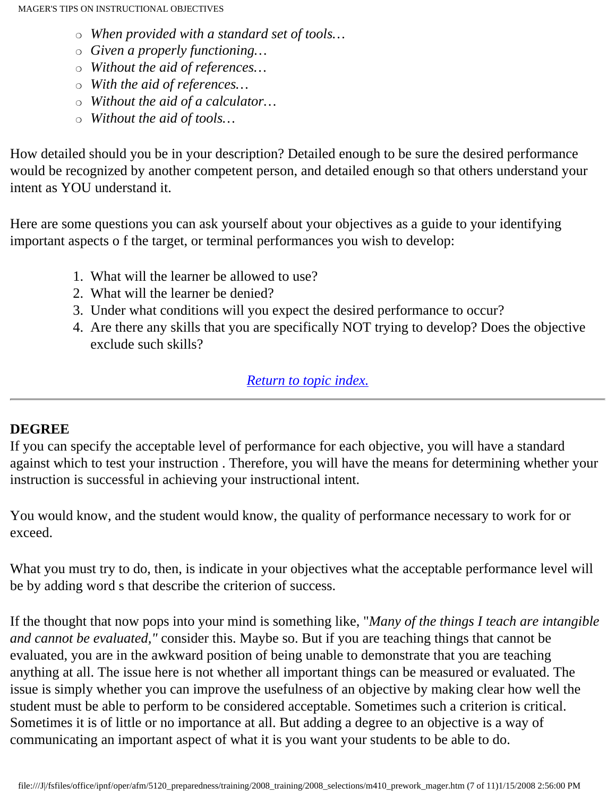- ❍ *When provided with a standard set of tools…*
- ❍ *Given a properly functioning…*
- ❍ *Without the aid of references…*
- ❍ *With the aid of references…*
- ❍ *Without the aid of a calculator…*
- ❍ *Without the aid of tools…*

How detailed should you be in your description? Detailed enough to be sure the desired performance would be recognized by another competent person, and detailed enough so that others understand your intent as YOU understand it.

Here are some questions you can ask yourself about your objectives as a guide to your identifying important aspects o f the target, or terminal performances you wish to develop:

- 1. What will the learner be allowed to use?
- 2. What will the learner be denied?
- 3. Under what conditions will you expect the desired performance to occur?
- 4. Are there any skills that you are specifically NOT trying to develop? Does the objective exclude such skills?

### *[Return to topic index.](http://www2.gsu.edu/~mstmbs/CrsTools/Magerobj.html#Objective Index)*

### **DEGREE**

If you can specify the acceptable level of performance for each objective, you will have a standard against which to test your instruction . Therefore, you will have the means for determining whether your instruction is successful in achieving your instructional intent.

You would know, and the student would know, the quality of performance necessary to work for or exceed.

What you must try to do, then, is indicate in your objectives what the acceptable performance level will be by adding word s that describe the criterion of success.

If the thought that now pops into your mind is something like, "*Many of the things I teach are intangible and cannot be evaluated,"* consider this. Maybe so. But if you are teaching things that cannot be evaluated, you are in the awkward position of being unable to demonstrate that you are teaching anything at all. The issue here is not whether all important things can be measured or evaluated. The issue is simply whether you can improve the usefulness of an objective by making clear how well the student must be able to perform to be considered acceptable. Sometimes such a criterion is critical. Sometimes it is of little or no importance at all. But adding a degree to an objective is a way of communicating an important aspect of what it is you want your students to be able to do.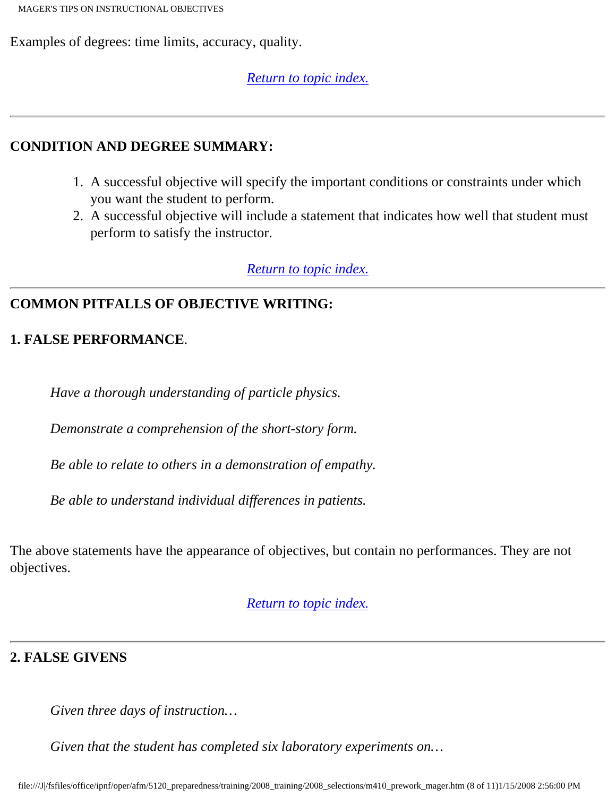MAGER'S TIPS ON INSTRUCTIONAL OBJECTIVES

Examples of degrees: time limits, accuracy, quality.

### *[Return to topic index.](http://www2.gsu.edu/~mstmbs/CrsTools/Magerobj.html#Objective Index)*

### **CONDITION AND DEGREE SUMMARY:**

- 1. A successful objective will specify the important conditions or constraints under which you want the student to perform.
- 2. A successful objective will include a statement that indicates how well that student must perform to satisfy the instructor.

*[Return to topic index.](http://www2.gsu.edu/~mstmbs/CrsTools/Magerobj.html#Objective Index)*

### **COMMON PITFALLS OF OBJECTIVE WRITING:**

### **1. FALSE PERFORMANCE**.

*Have a thorough understanding of particle physics.*

*Demonstrate a comprehension of the short-story form.*

*Be able to relate to others in a demonstration of empathy.*

*Be able to understand individual differences in patients.*

The above statements have the appearance of objectives, but contain no performances. They are not objectives.

*[Return to topic index.](http://www2.gsu.edu/~mstmbs/CrsTools/Magerobj.html#Objective Index)*

### **2. FALSE GIVENS**

*Given three days of instruction…*

*Given that the student has completed six laboratory experiments on…*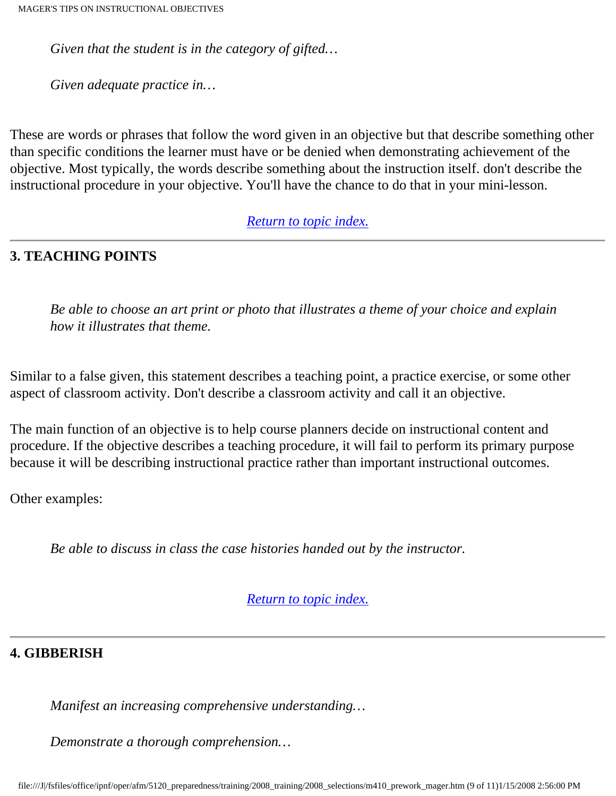*Given that the student is in the category of gifted…*

*Given adequate practice in…*

These are words or phrases that follow the word given in an objective but that describe something other than specific conditions the learner must have or be denied when demonstrating achievement of the objective. Most typically, the words describe something about the instruction itself. don't describe the instructional procedure in your objective. You'll have the chance to do that in your mini-lesson.

#### *[Return to topic index.](http://www2.gsu.edu/~mstmbs/CrsTools/Magerobj.html#Objective Index)*

### **3. TEACHING POINTS**

*Be able to choose an art print or photo that illustrates a theme of your choice and explain how it illustrates that theme.*

Similar to a false given, this statement describes a teaching point, a practice exercise, or some other aspect of classroom activity. Don't describe a classroom activity and call it an objective.

The main function of an objective is to help course planners decide on instructional content and procedure. If the objective describes a teaching procedure, it will fail to perform its primary purpose because it will be describing instructional practice rather than important instructional outcomes.

Other examples:

*Be able to discuss in class the case histories handed out by the instructor.*

*[Return to topic index.](http://www2.gsu.edu/~mstmbs/CrsTools/Magerobj.html#Objective Index)*

#### **4. GIBBERISH**

*Manifest an increasing comprehensive understanding…*

*Demonstrate a thorough comprehension…*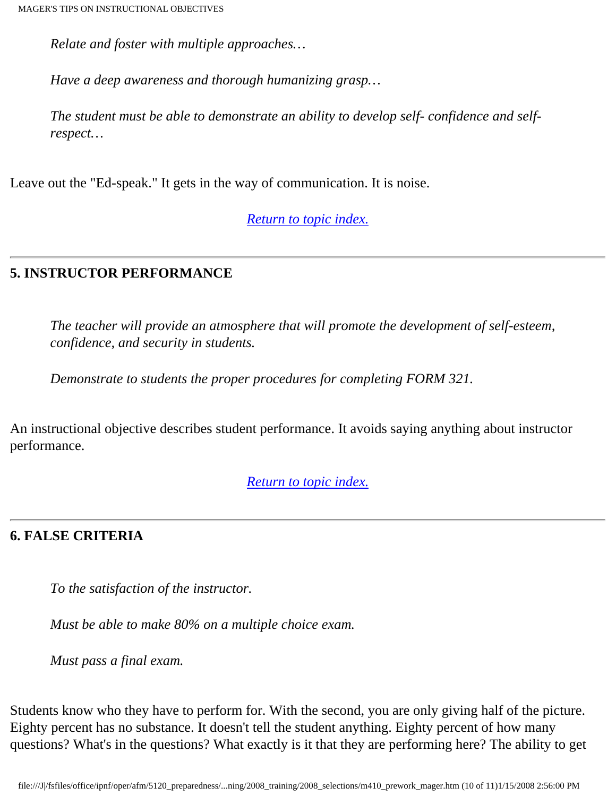*Relate and foster with multiple approaches…*

*Have a deep awareness and thorough humanizing grasp…*

*The student must be able to demonstrate an ability to develop self- confidence and selfrespect…*

Leave out the "Ed-speak." It gets in the way of communication. It is noise.

*[Return to topic index.](http://www2.gsu.edu/~mstmbs/CrsTools/Magerobj.html#Objective Index)*

### **5. INSTRUCTOR PERFORMANCE**

*The teacher will provide an atmosphere that will promote the development of self-esteem, confidence, and security in students.*

*Demonstrate to students the proper procedures for completing FORM 321.*

An instructional objective describes student performance. It avoids saying anything about instructor performance.

*[Return to topic index.](http://www2.gsu.edu/~mstmbs/CrsTools/Magerobj.html#Objective Index)*

### **6. FALSE CRITERIA**

*To the satisfaction of the instructor.*

*Must be able to make 80% on a multiple choice exam.*

*Must pass a final exam.*

Students know who they have to perform for. With the second, you are only giving half of the picture. Eighty percent has no substance. It doesn't tell the student anything. Eighty percent of how many questions? What's in the questions? What exactly is it that they are performing here? The ability to get